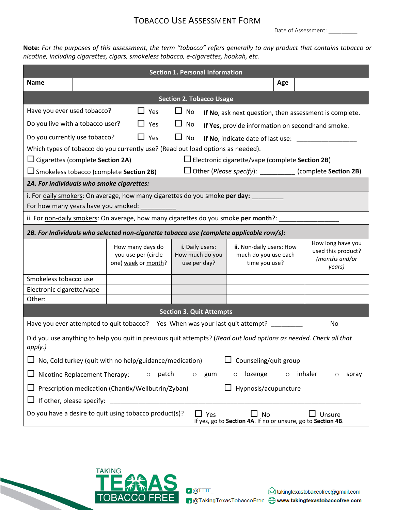## TOBACCO USE ASSESSMENT FORM

Date of Assessment:

**Note:** *For the purposes of this assessment, the term "tobacco" refers generally to any product that contains tobacco or nicotine, including cigarettes, cigars, smokeless tobacco, e-cigarettes, hookah, etc.*

| <b>Section 1. Personal Information</b>                                                                                                               |  |                                                                |                                                    |                                                                   |                                                                     |  |  |  |
|------------------------------------------------------------------------------------------------------------------------------------------------------|--|----------------------------------------------------------------|----------------------------------------------------|-------------------------------------------------------------------|---------------------------------------------------------------------|--|--|--|
| <b>Name</b>                                                                                                                                          |  |                                                                |                                                    | Age                                                               |                                                                     |  |  |  |
| <b>Section 2. Tobacco Usage</b>                                                                                                                      |  |                                                                |                                                    |                                                                   |                                                                     |  |  |  |
| Have you ever used tobacco?<br>$\Box$ Yes<br>$\Box$ No<br>If No, ask next question, then assessment is complete.                                     |  |                                                                |                                                    |                                                                   |                                                                     |  |  |  |
| Do you live with a tobacco user?                                                                                                                     |  | $\Box$ Yes                                                     | $\Box$<br>No                                       | If Yes, provide information on secondhand smoke.                  |                                                                     |  |  |  |
| $\Box$ Yes<br>Do you currently use tobacco?                                                                                                          |  |                                                                | □<br>No                                            | If No, indicate date of last use: ____                            |                                                                     |  |  |  |
| Which types of tobacco do you currently use? (Read out load options as needed).                                                                      |  |                                                                |                                                    |                                                                   |                                                                     |  |  |  |
| $\Box$ Cigarettes (complete Section 2A)<br>$\Box$ Electronic cigarette/vape (complete Section 2B)                                                    |  |                                                                |                                                    |                                                                   |                                                                     |  |  |  |
| $\Box$ Other ( <i>Please specify</i> ): ___________ (complete <b>Section 2B</b> )<br>$\Box$ Smokeless tobacco (complete Section 2B)                  |  |                                                                |                                                    |                                                                   |                                                                     |  |  |  |
| 2A. For individuals who smoke cigarettes:                                                                                                            |  |                                                                |                                                    |                                                                   |                                                                     |  |  |  |
| i. For daily smokers: On average, how many cigarettes do you smoke per day:                                                                          |  |                                                                |                                                    |                                                                   |                                                                     |  |  |  |
|                                                                                                                                                      |  |                                                                |                                                    |                                                                   |                                                                     |  |  |  |
| ii. For non-daily smokers: On average, how many cigarettes do you smoke per month?: _                                                                |  |                                                                |                                                    |                                                                   |                                                                     |  |  |  |
| 2B. For Individuals who selected non-cigarette tobacco use (complete applicable row/s):                                                              |  |                                                                |                                                    |                                                                   |                                                                     |  |  |  |
|                                                                                                                                                      |  | How many days do<br>you use per (circle<br>one) week or month? | i. Daily users:<br>How much do you<br>use per day? | ii. Non-daily users: How<br>much do you use each<br>time you use? | How long have you<br>used this product?<br>(months and/or<br>years) |  |  |  |
| Smokeless tobacco use                                                                                                                                |  |                                                                |                                                    |                                                                   |                                                                     |  |  |  |
| Electronic cigarette/vape                                                                                                                            |  |                                                                |                                                    |                                                                   |                                                                     |  |  |  |
| Other:                                                                                                                                               |  |                                                                |                                                    |                                                                   |                                                                     |  |  |  |
| <b>Section 3. Quit Attempts</b>                                                                                                                      |  |                                                                |                                                    |                                                                   |                                                                     |  |  |  |
| Have you ever attempted to quit tobacco? Yes When was your last quit attempt? _______<br>No                                                          |  |                                                                |                                                    |                                                                   |                                                                     |  |  |  |
| Did you use anything to help you quit in previous quit attempts? (Read out loud options as needed. Check all that<br>apply.)                         |  |                                                                |                                                    |                                                                   |                                                                     |  |  |  |
| Counseling/quit group<br>No, Cold turkey (quit with no help/guidance/medication)                                                                     |  |                                                                |                                                    |                                                                   |                                                                     |  |  |  |
| Nicotine Replacement Therapy:<br>patch<br>lozenge<br>inhaler<br>gum<br>$\circ$<br>$\circ$<br>$\circ$<br>spray<br>$\circ$<br>$\circ$                  |  |                                                                |                                                    |                                                                   |                                                                     |  |  |  |
| Prescription medication (Chantix/Wellbutrin/Zyban)<br>Hypnosis/acupuncture                                                                           |  |                                                                |                                                    |                                                                   |                                                                     |  |  |  |
| If other, please specify:                                                                                                                            |  |                                                                |                                                    |                                                                   |                                                                     |  |  |  |
| Do you have a desire to quit using tobacco product(s)?<br>$\Box$ Yes<br>No<br>Unsure<br>If yes, go to Section 4A. If no or unsure, go to Section 4B. |  |                                                                |                                                    |                                                                   |                                                                     |  |  |  |